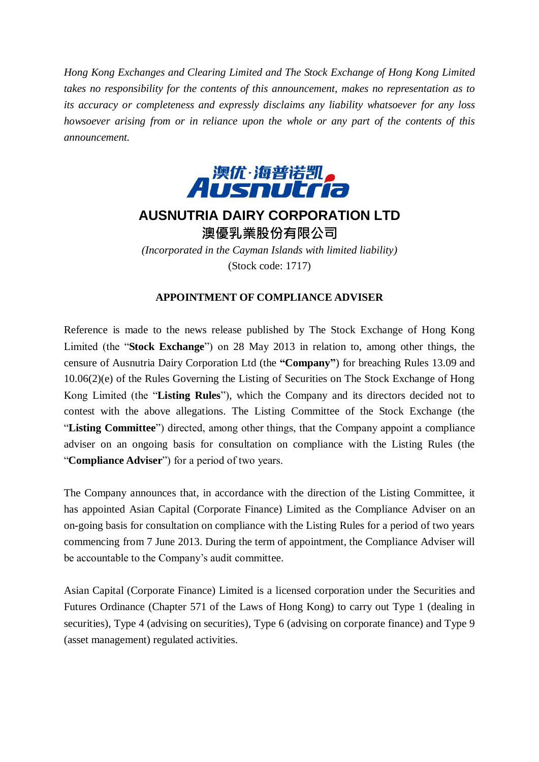*Hong Kong Exchanges and Clearing Limited and The Stock Exchange of Hong Kong Limited takes no responsibility for the contents of this announcement, makes no representation as to its accuracy or completeness and expressly disclaims any liability whatsoever for any loss howsoever arising from or in reliance upon the whole or any part of the contents of this announcement.*



## **AUSNUTRIA DAIRY CORPORATION LTD** 澳優乳業股份有限公司

*(Incorporated in the Cayman Islands with limited liability)* (Stock code: 1717)

## **APPOINTMENT OF COMPLIANCE ADVISER**

Reference is made to the news release published by The Stock Exchange of Hong Kong Limited (the "**Stock Exchange**") on 28 May 2013 in relation to, among other things, the censure of Ausnutria Dairy Corporation Ltd (the **"Company"**) for breaching Rules 13.09 and 10.06(2)(e) of the Rules Governing the Listing of Securities on The Stock Exchange of Hong Kong Limited (the "**Listing Rules**"), which the Company and its directors decided not to contest with the above allegations. The Listing Committee of the Stock Exchange (the "**Listing Committee**") directed, among other things, that the Company appoint a compliance adviser on an ongoing basis for consultation on compliance with the Listing Rules (the "**Compliance Adviser**") for a period of two years.

The Company announces that, in accordance with the direction of the Listing Committee, it has appointed Asian Capital (Corporate Finance) Limited as the Compliance Adviser on an on-going basis for consultation on compliance with the Listing Rules for a period of two years commencing from 7 June 2013. During the term of appointment, the Compliance Adviser will be accountable to the Company's audit committee.

Asian Capital (Corporate Finance) Limited is a licensed corporation under the Securities and Futures Ordinance (Chapter 571 of the Laws of Hong Kong) to carry out Type 1 (dealing in securities), Type 4 (advising on securities), Type 6 (advising on corporate finance) and Type 9 (asset management) regulated activities.